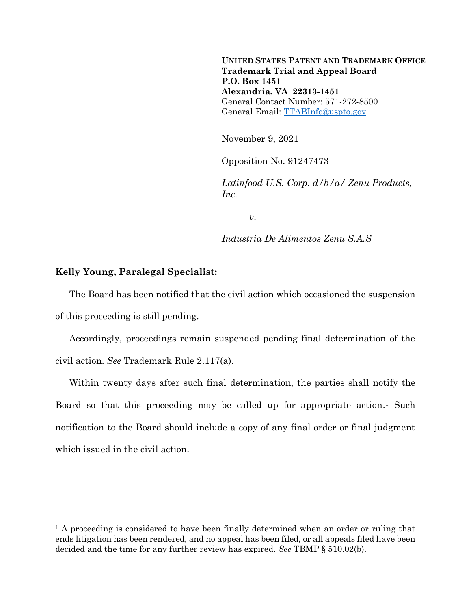**UNITED STATES PATENT AND TRADEMARK OFFICE Trademark Trial and Appeal Board P.O. Box 1451 Alexandria, VA 22313-1451** General Contact Number: 571-272-8500 General Email: [TTABInfo@uspto.gov](mailto:TTABInfo@uspto.gov)

November 9, 2021

Opposition No. 91247473

*Latinfood U.S. Corp. d/b/a/ Zenu Products, Inc.*

*v.*

*Industria De Alimentos Zenu S.A.S*

## **Kelly Young, Paralegal Specialist:**

l

The Board has been notified that the civil action which occasioned the suspension of this proceeding is still pending.

Accordingly, proceedings remain suspended pending final determination of the civil action. *See* Trademark Rule 2.117(a).

Within twenty days after such final determination, the parties shall notify the Board so that this proceeding may be called up for appropriate action. <sup>1</sup> Such notification to the Board should include a copy of any final order or final judgment which issued in the civil action.

<sup>&</sup>lt;sup>1</sup> A proceeding is considered to have been finally determined when an order or ruling that ends litigation has been rendered, and no appeal has been filed, or all appeals filed have been decided and the time for any further review has expired. *See* TBMP § 510.02(b).